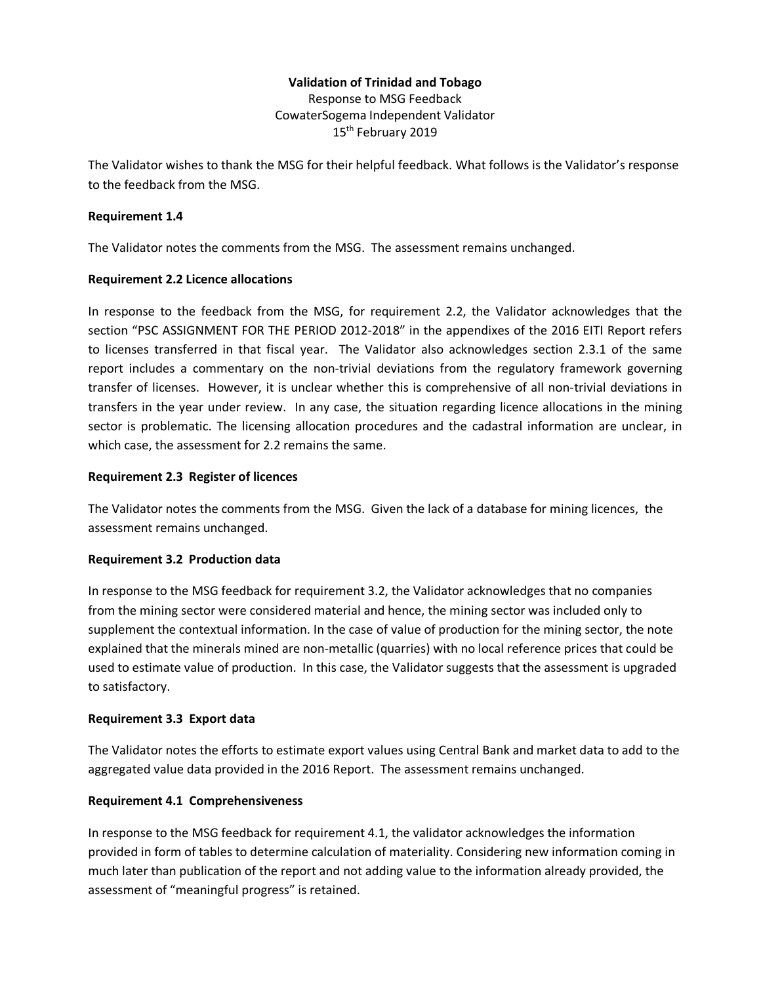# **Validation of Trinidad and Tobago**

Response to MSG Feedback CowaterSogema Independent Validator 15<sup>th</sup> February 2019

The Validator wishes to thank the MSG for their helpful feedback. What follows is the Validator's response to the feedback from the MSG.

#### **Requirement 1.4**

The Validator notes the comments from the MSG. The assessment remains unchanged.

#### **Requirement 2.2 Licence allocations**

In response to the feedback from the MSG, for requirement 2.2, the Validator acknowledges that the section "PSC ASSIGNMENT FOR THE PERIOD 2012-2018" in the appendixes of the 2016 EITI Report refers to licenses transferred in that fiscal year. The Validator also acknowledges section 2.3.1 of the same report includes a commentary on the non-trivial deviations from the regulatory framework governing transfer of licenses. However, it is unclear whether this is comprehensive of all non-trivial deviations in transfers in the year under review. In any case, the situation regarding licence allocations in the mining sector is problematic. The licensing allocation procedures and the cadastral information are unclear, in which case, the assessment for 2.2 remains the same.

## **Requirement 2.3 Register of licences**

The Validator notes the comments from the MSG. Given the lack of a database for mining licences, the assessment remains unchanged.

#### **Requirement 3.2 Production data**

In response to the MSG feedback for requirement 3.2, the Validator acknowledges that no companies from the mining sector were considered material and hence, the mining sector was included only to supplement the contextual information. In the case of value of production for the mining sector, the note explained that the minerals mined are non-metallic (quarries) with no local reference prices that could be used to estimate value of production. In this case, the Validator suggests that the assessment is upgraded to satisfactory.

#### **Requirement 3.3 Export data**

The Validator notes the efforts to estimate export values using Central Bank and market data to add to the aggregated value data provided in the 2016 Report. The assessment remains unchanged.

# **Requirement 4.1 Comprehensiveness**

In response to the MSG feedback for requirement 4.1, the validator acknowledges the information provided in form of tables to determine calculation of materiality. Considering new information coming in much later than publication of the report and not adding value to the information already provided, the assessment of "meaningful progress" is retained.